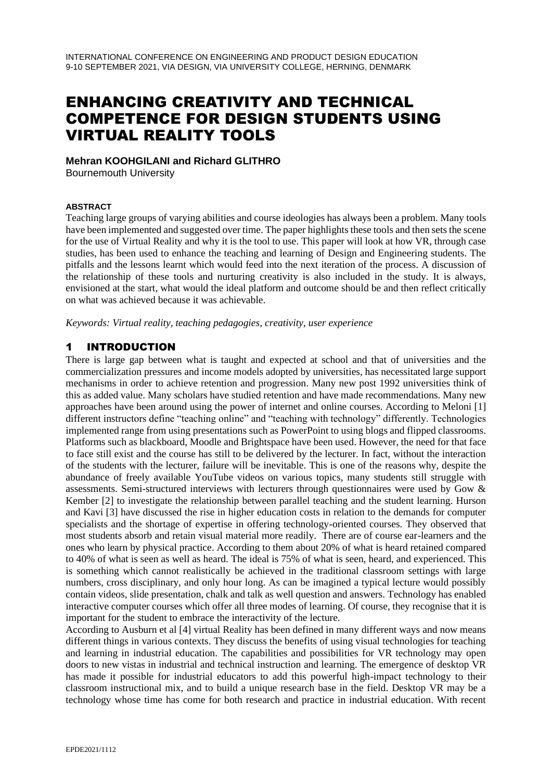# ENHANCING CREATIVITY AND TECHNICAL COMPETENCE FOR DESIGN STUDENTS USING VIRTUAL REALITY TOOLS

**Mehran KOOHGILANI and Richard GLITHRO** Bournemouth University

#### **ABSTRACT**

Teaching large groups of varying abilities and course ideologies has always been a problem. Many tools have been implemented and suggested over time. The paper highlights these tools and then sets the scene for the use of Virtual Reality and why it is the tool to use. This paper will look at how VR, through case studies, has been used to enhance the teaching and learning of Design and Engineering students. The pitfalls and the lessons learnt which would feed into the next iteration of the process. A discussion of the relationship of these tools and nurturing creativity is also included in the study. It is always, envisioned at the start, what would the ideal platform and outcome should be and then reflect critically on what was achieved because it was achievable.

*Keywords: Virtual reality, teaching pedagogies, creativity, user experience*

### 1 INTRODUCTION

There is large gap between what is taught and expected at school and that of universities and the commercialization pressures and income models adopted by universities, has necessitated large support mechanisms in order to achieve retention and progression. Many new post 1992 universities think of this as added value. Many scholars have studied retention and have made recommendations. Many new approaches have been around using the power of internet and online courses. According to Meloni [1] different instructors define "teaching online" and "teaching with technology" differently. Technologies implemented range from using presentations such as PowerPoint to using blogs and flipped classrooms. Platforms such as blackboard, Moodle and Brightspace have been used. However, the need for that face to face still exist and the course has still to be delivered by the lecturer. In fact, without the interaction of the students with the lecturer, failure will be inevitable. This is one of the reasons why, despite the abundance of freely available YouTube videos on various topics, many students still struggle with assessments. Semi-structured interviews with lecturers through questionnaires were used by Gow & Kember [2] to investigate the relationship between parallel teaching and the student learning. Hurson and Kavi [3] have discussed the rise in higher education costs in relation to the demands for computer specialists and the shortage of expertise in offering technology-oriented courses. They observed that most students absorb and retain visual material more readily. There are of course ear-learners and the ones who learn by physical practice. According to them about 20% of what is heard retained compared to 40% of what is seen as well as heard. The ideal is 75% of what is seen, heard, and experienced. This is something which cannot realistically be achieved in the traditional classroom settings with large numbers, cross disciplinary, and only hour long. As can be imagined a typical lecture would possibly contain videos, slide presentation, chalk and talk as well question and answers. Technology has enabled interactive computer courses which offer all three modes of learning. Of course, they recognise that it is important for the student to embrace the interactivity of the lecture.

According to Ausburn et al [4] virtual Reality has been defined in many different ways and now means different things in various contexts. They discuss the benefits of using visual technologies for teaching and learning in industrial education. The capabilities and possibilities for VR technology may open doors to new vistas in industrial and technical instruction and learning. The emergence of desktop VR has made it possible for industrial educators to add this powerful high-impact technology to their classroom instructional mix, and to build a unique research base in the field. Desktop VR may be a technology whose time has come for both research and practice in industrial education. With recent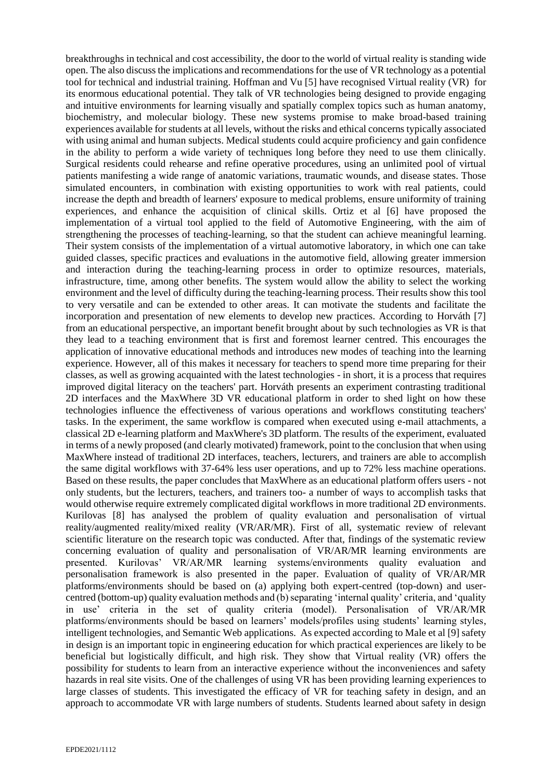breakthroughs in technical and cost accessibility, the door to the world of virtual reality is standing wide open. The also discuss the implications and recommendations for the use of VR technology as a potential tool for technical and industrial training. Hoffman and Vu [5] have recognised Virtual reality (VR) for its enormous educational potential. They talk of VR technologies being designed to provide engaging and intuitive environments for learning visually and spatially complex topics such as human anatomy, biochemistry, and molecular biology. These new systems promise to make broad-based training experiences available for students at all levels, without the risks and ethical concerns typically associated with using animal and human subjects. Medical students could acquire proficiency and gain confidence in the ability to perform a wide variety of techniques long before they need to use them clinically. Surgical residents could rehearse and refine operative procedures, using an unlimited pool of virtual patients manifesting a wide range of anatomic variations, traumatic wounds, and disease states. Those simulated encounters, in combination with existing opportunities to work with real patients, could increase the depth and breadth of learners' exposure to medical problems, ensure uniformity of training experiences, and enhance the acquisition of clinical skills. Ortiz et al [6] have proposed the implementation of a virtual tool applied to the field of Automotive Engineering, with the aim of strengthening the processes of teaching-learning, so that the student can achieve meaningful learning. Their system consists of the implementation of a virtual automotive laboratory, in which one can take guided classes, specific practices and evaluations in the automotive field, allowing greater immersion and interaction during the teaching-learning process in order to optimize resources, materials, infrastructure, time, among other benefits. The system would allow the ability to select the working environment and the level of difficulty during the teaching-learning process. Their results show this tool to very versatile and can be extended to other areas. It can motivate the students and facilitate the incorporation and presentation of new elements to develop new practices. According to Horváth [7] from an educational perspective, an important benefit brought about by such technologies as VR is that they lead to a teaching environment that is first and foremost learner centred. This encourages the application of innovative educational methods and introduces new modes of teaching into the learning experience. However, all of this makes it necessary for teachers to spend more time preparing for their classes, as well as growing acquainted with the latest technologies - in short, it is a process that requires improved digital literacy on the teachers' part. Horváth presents an experiment contrasting traditional 2D interfaces and the MaxWhere 3D VR educational platform in order to shed light on how these technologies influence the effectiveness of various operations and workflows constituting teachers' tasks. In the experiment, the same workflow is compared when executed using e-mail attachments, a classical 2D e-learning platform and MaxWhere's 3D platform. The results of the experiment, evaluated in terms of a newly proposed (and clearly motivated) framework, point to the conclusion that when using MaxWhere instead of traditional 2D interfaces, teachers, lecturers, and trainers are able to accomplish the same digital workflows with 37-64% less user operations, and up to 72% less machine operations. Based on these results, the paper concludes that MaxWhere as an educational platform offers users - not only students, but the lecturers, teachers, and trainers too- a number of ways to accomplish tasks that would otherwise require extremely complicated digital workflows in more traditional 2D environments. Kurilovas [8] has analysed the problem of quality evaluation and personalisation of virtual reality/augmented reality/mixed reality (VR/AR/MR). First of all, systematic review of relevant scientific literature on the research topic was conducted. After that, findings of the systematic review concerning evaluation of quality and personalisation of VR/AR/MR learning environments are presented. Kurilovas' VR/AR/MR learning systems/environments quality evaluation and personalisation framework is also presented in the paper. Evaluation of quality of VR/AR/MR platforms/environments should be based on (a) applying both expert-centred (top-down) and usercentred (bottom-up) quality evaluation methods and (b) separating 'internal quality' criteria, and 'quality in use' criteria in the set of quality criteria (model). Personalisation of VR/AR/MR platforms/environments should be based on learners' models/profiles using students' learning styles, intelligent technologies, and Semantic Web applications. As expected according to Male et al [9] safety in design is an important topic in engineering education for which practical experiences are likely to be beneficial but logistically difficult, and high risk. They show that Virtual reality (VR) offers the possibility for students to learn from an interactive experience without the inconveniences and safety hazards in real site visits. One of the challenges of using VR has been providing learning experiences to large classes of students. This investigated the efficacy of VR for teaching safety in design, and an approach to accommodate VR with large numbers of students. Students learned about safety in design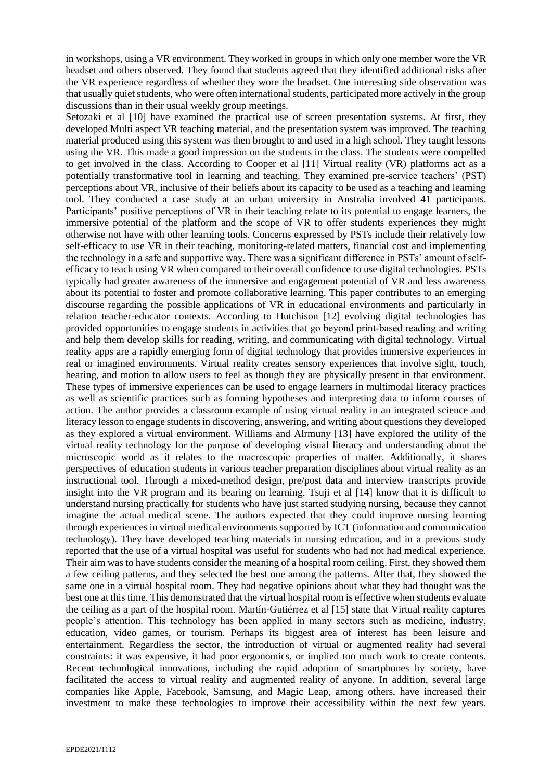in workshops, using a VR environment. They worked in groups in which only one member wore the VR headset and others observed. They found that students agreed that they identified additional risks after the VR experience regardless of whether they wore the headset. One interesting side observation was that usually quiet students, who were often international students, participated more actively in the group discussions than in their usual weekly group meetings.

Setozaki et al [10] have examined the practical use of screen presentation systems. At first, they developed Multi aspect VR teaching material, and the presentation system was improved. The teaching material produced using this system was then brought to and used in a high school. They taught lessons using the VR. This made a good impression on the students in the class. The students were compelled to get involved in the class. According to Cooper et al [11] Virtual reality (VR) platforms act as a potentially transformative tool in learning and teaching. They examined pre-service teachers' (PST) perceptions about VR, inclusive of their beliefs about its capacity to be used as a teaching and learning tool. They conducted a case study at an urban university in Australia involved 41 participants. Participants' positive perceptions of VR in their teaching relate to its potential to engage learners, the immersive potential of the platform and the scope of VR to offer students experiences they might otherwise not have with other learning tools. Concerns expressed by PSTs include their relatively low self-efficacy to use VR in their teaching, monitoring-related matters, financial cost and implementing the technology in a safe and supportive way. There was a significant difference in PSTs' amount of selfefficacy to teach using VR when compared to their overall confidence to use digital technologies. PSTs typically had greater awareness of the immersive and engagement potential of VR and less awareness about its potential to foster and promote collaborative learning. This paper contributes to an emerging discourse regarding the possible applications of VR in educational environments and particularly in relation teacher-educator contexts. According to Hutchison [12] evolving digital technologies has provided opportunities to engage students in activities that go beyond print‐based reading and writing and help them develop skills for reading, writing, and communicating with digital technology. Virtual reality apps are a rapidly emerging form of digital technology that provides immersive experiences in real or imagined environments. Virtual reality creates sensory experiences that involve sight, touch, hearing, and motion to allow users to feel as though they are physically present in that environment. These types of immersive experiences can be used to engage learners in multimodal literacy practices as well as scientific practices such as forming hypotheses and interpreting data to inform courses of action. The author provides a classroom example of using virtual reality in an integrated science and literacy lesson to engage students in discovering, answering, and writing about questions they developed as they explored a virtual environment. [Williams](https://www.learntechlib.org/author/Mia+Kim+Williams) and [Alrmuny](https://www.learntechlib.org/author/Dalal+Alrmuny) [13] have explored the utility of the virtual reality technology for the purpose of developing visual literacy and understanding about the microscopic world as it relates to the macroscopic properties of matter. Additionally, it shares perspectives of education students in various teacher preparation disciplines about virtual reality as an instructional tool. Through a mixed-method design, pre/post data and interview transcripts provide insight into the VR program and its bearing on learning. Tsuji et al [14] know that it is difficult to understand nursing practically for students who have just started studying nursing, because they cannot imagine the actual medical scene. The authors expected that they could improve nursing learning through experiences in virtual medical environments supported by ICT (information and communication technology). They have developed teaching materials in nursing education, and in a previous study reported that the use of a virtual hospital was useful for students who had not had medical experience. Their aim was to have students consider the meaning of a hospital room ceiling. First, they showed them a few ceiling patterns, and they selected the best one among the patterns. After that, they showed the same one in a virtual hospital room. They had negative opinions about what they had thought was the best one at this time. This demonstrated that the virtual hospital room is effective when students evaluate the ceiling as a part of the hospital room. Martín-Gutiérrez et al [15] state that Virtual reality captures people's attention. This technology has been applied in many sectors such as medicine, industry, education, video games, or tourism. Perhaps its biggest area of interest has been leisure and entertainment. Regardless the sector, the introduction of virtual or augmented reality had several constraints: it was expensive, it had poor ergonomics, or implied too much work to create contents. Recent technological innovations, including the rapid adoption of smartphones by society, have facilitated the access to virtual reality and augmented reality of anyone. In addition, several large companies like Apple, Facebook, Samsung, and Magic Leap, among others, have increased their investment to make these technologies to improve their accessibility within the next few years.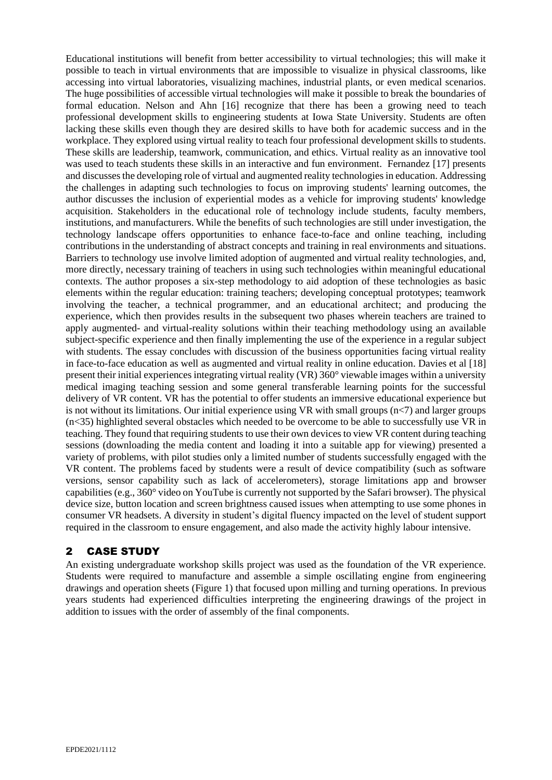Educational institutions will benefit from better accessibility to virtual technologies; this will make it possible to teach in virtual environments that are impossible to visualize in physical classrooms, like accessing into virtual laboratories, visualizing machines, industrial plants, or even medical scenarios. The huge possibilities of accessible virtual technologies will make it possible to break the boundaries of formal education. Nelson and Ahn [16] recognize that there has been a growing need to teach professional development skills to engineering students at Iowa State University. Students are often lacking these skills even though they are desired skills to have both for academic success and in the workplace. They explored using virtual reality to teach four professional development skills to students. These skills are leadership, teamwork, communication, and ethics. Virtual reality as an innovative tool was used to teach students these skills in an interactive and fun environment. Fernandez [17] presents and discusses the developing role of virtual and augmented reality technologies in education. Addressing the challenges in adapting such technologies to focus on improving students' learning outcomes, the author discusses the inclusion of experiential modes as a vehicle for improving students' knowledge acquisition. Stakeholders in the educational role of technology include students, faculty members, institutions, and manufacturers. While the benefits of such technologies are still under investigation, the technology landscape offers opportunities to enhance face-to-face and online teaching, including contributions in the understanding of abstract concepts and training in real environments and situations. Barriers to technology use involve limited adoption of augmented and virtual reality technologies, and, more directly, necessary training of teachers in using such technologies within meaningful educational contexts. The author proposes a six-step methodology to aid adoption of these technologies as basic elements within the regular education: training teachers; developing conceptual prototypes; teamwork involving the teacher, a technical programmer, and an educational architect; and producing the experience, which then provides results in the subsequent two phases wherein teachers are trained to apply augmented- and virtual-reality solutions within their teaching methodology using an available subject-specific experience and then finally implementing the use of the experience in a regular subject with students. The essay concludes with discussion of the business opportunities facing virtual reality in face-to-face education as well as augmented and virtual reality in online education. Davies et al [18] present their initial experiences integrating virtual reality (VR) 360° viewable images within a university medical imaging teaching session and some general transferable learning points for the successful delivery of VR content. VR has the potential to offer students an immersive educational experience but is not without its limitations. Our initial experience using VR with small groups  $(n<7)$  and larger groups (n<35) highlighted several obstacles which needed to be overcome to be able to successfully use VR in teaching. They found that requiring students to use their own devices to view VR content during teaching sessions (downloading the media content and loading it into a suitable app for viewing) presented a variety of problems, with pilot studies only a limited number of students successfully engaged with the VR content. The problems faced by students were a result of device compatibility (such as software versions, sensor capability such as lack of accelerometers), storage limitations app and browser capabilities (e.g., 360° video on YouTube is currently not supported by the Safari browser). The physical device size, button location and screen brightness caused issues when attempting to use some phones in consumer VR headsets. A diversity in student's digital fluency impacted on the level of student support required in the classroom to ensure engagement, and also made the activity highly labour intensive.

## 2 CASE STUDY

An existing undergraduate workshop skills project was used as the foundation of the VR experience. Students were required to manufacture and assemble a simple oscillating engine from engineering drawings and operation sheets (Figure 1) that focused upon milling and turning operations. In previous years students had experienced difficulties interpreting the engineering drawings of the project in addition to issues with the order of assembly of the final components.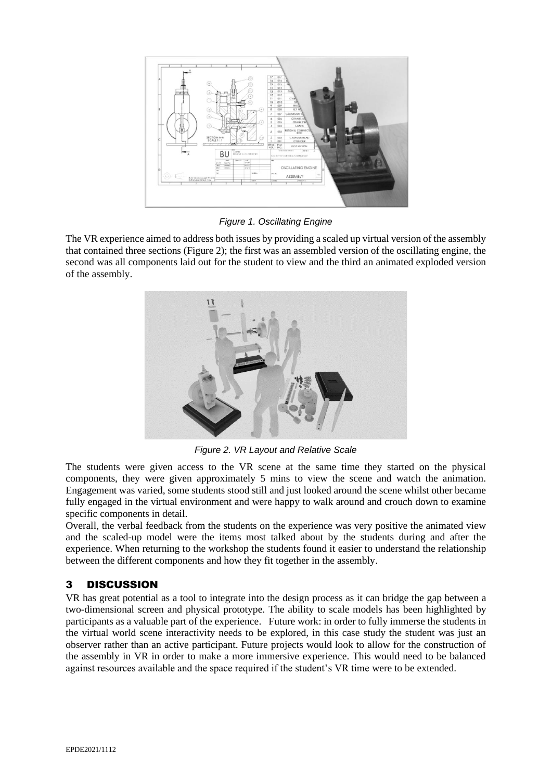

*Figure 1. Oscillating Engine*

The VR experience aimed to address both issues by providing a scaled up virtual version of the assembly that contained three sections (Figure 2); the first was an assembled version of the oscillating engine, the second was all components laid out for the student to view and the third an animated exploded version of the assembly.



*Figure 2. VR Layout and Relative Scale*

The students were given access to the VR scene at the same time they started on the physical components, they were given approximately 5 mins to view the scene and watch the animation. Engagement was varied, some students stood still and just looked around the scene whilst other became fully engaged in the virtual environment and were happy to walk around and crouch down to examine specific components in detail.

Overall, the verbal feedback from the students on the experience was very positive the animated view and the scaled-up model were the items most talked about by the students during and after the experience. When returning to the workshop the students found it easier to understand the relationship between the different components and how they fit together in the assembly.

## 3 DISCUSSION

VR has great potential as a tool to integrate into the design process as it can bridge the gap between a two-dimensional screen and physical prototype. The ability to scale models has been highlighted by participants as a valuable part of the experience. Future work: in order to fully immerse the students in the virtual world scene interactivity needs to be explored, in this case study the student was just an observer rather than an active participant. Future projects would look to allow for the construction of the assembly in VR in order to make a more immersive experience. This would need to be balanced against resources available and the space required if the student's VR time were to be extended.